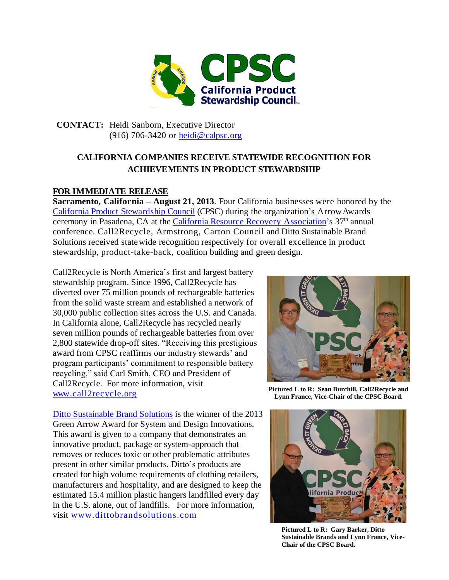

**CONTACT:** Heidi Sanborn, Executive Director (916) 706-3420 or [heidi@calpsc.org](mailto:mheidi@calpsc.org)

## **CALIFORNIA COMPANIES RECEIVE STATEWIDE RECOGNITION FOR ACHIEVEMENTS IN PRODUCT STEWARDSHIP**

## **FOR IMMEDIATE RELEASE**

**Sacramento, California – August 21, 2013**. Four California businesses were honored by the California Product [Stewardship](http://www.calpsc.org/) Council (CPSC) during the organization's ArrowAwards ceremony in Pasadena, CA at the *California Resource Recovery Association*'s 37<sup>th</sup> annual conference. Call2Recycle, Armstrong, Carton Council and Ditto Sustainable Brand Solutions received statewide recognition respectively for overall excellence in product stewardship, product-take-back, coalition building and green design.

Call2Recycle is North America's first and largest battery stewardship program. Since 1996, Call2Recycle has diverted over 75 million pounds of rechargeable batteries from the solid waste stream and established a network of 30,000 public collection sites across the U.S. and Canada. In California alone, Call2Recycle has recycled nearly seven million pounds of rechargeable batteries from over 2,800 statewide drop-off sites. "Receiving this prestigious award from CPSC reaffirms our industry stewards' and program participants' commitment to responsible battery recycling," said Carl Smith, CEO and President of Call2Recycle. For more information, visit [www.call2recycle.org](http://www.call2recycle.org/) 

[Ditto Sustainable Brand Solutions](http://dittobrandsolutions.com/home/) is the winner of the 2013 Green Arrow Award for System and Design Innovations. This award is given to a company that demonstrates an innovative product, package or system-approach that removes or reduces toxic or other problematic attributes present in other similar products. Ditto's products are created for high volume requirements of clothing retailers, manufacturers and hospitality, and are designed to keep the estimated 15.4 million plastic hangers landfilled every day in the U.S. alone, out of landfills. For more information, visit [www.dittobrandsolutions.com](http://dittobrandsolutions.com/home/)



**Pictured L to R: Sean Burchill, Call2Recycle and Lynn France, Vice-Chair of the CPSC Board.**



**Pictured L to R: Gary Barker, Ditto Sustainable Brands and Lynn France, Vice-Chair of the CPSC Board.**